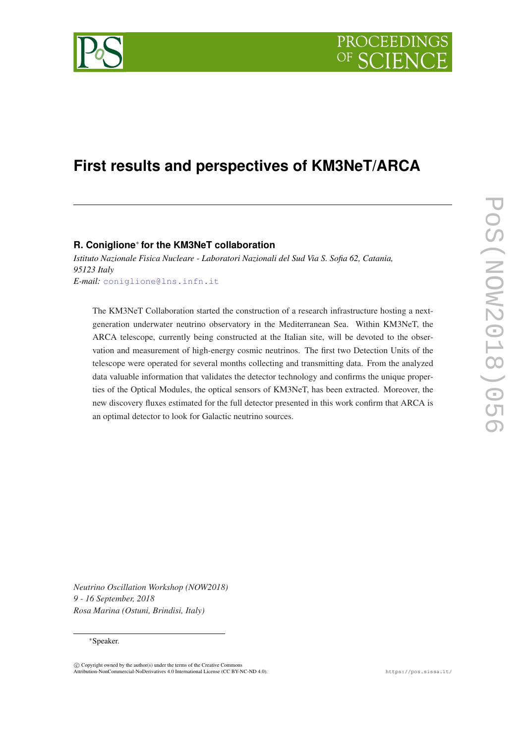

# **First results and perspectives of KM3NeT/ARCA**

## **R. Coniglione**<sup>∗</sup> **for the KM3NeT collaboration**

*Istituto Nazionale Fisica Nucleare - Laboratori Nazionali del Sud Via S. Sofia 62, Catania, 95123 Italy E-mail:* [coniglione@lns.infn.it](mailto:coniglione@lns.infn.it)

The KM3NeT Collaboration started the construction of a research infrastructure hosting a nextgeneration underwater neutrino observatory in the Mediterranean Sea. Within KM3NeT, the ARCA telescope, currently being constructed at the Italian site, will be devoted to the observation and measurement of high-energy cosmic neutrinos. The first two Detection Units of the telescope were operated for several months collecting and transmitting data. From the analyzed data valuable information that validates the detector technology and confirms the unique properties of the Optical Modules, the optical sensors of KM3NeT, has been extracted. Moreover, the new discovery fluxes estimated for the full detector presented in this work confirm that ARCA is an optimal detector to look for Galactic neutrino sources.

*Neutrino Oscillation Workshop (NOW2018) 9 - 16 September, 2018 Rosa Marina (Ostuni, Brindisi, Italy)*

#### <sup>∗</sup>Speaker.

 $\overline{c}$  Copyright owned by the author(s) under the terms of the Creative Common Attribution-NonCommercial-NoDerivatives 4.0 International License (CC BY-NC-ND 4.0). https://pos.sissa.it/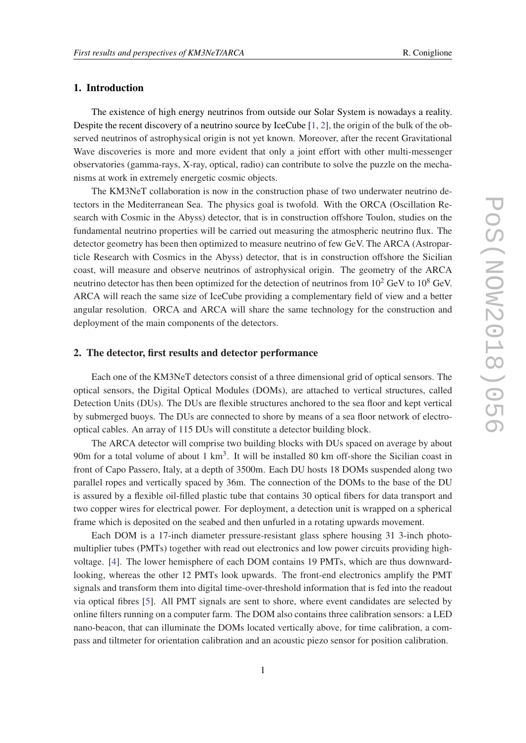#### 1. Introduction

The existence of high energy neutrinos from outside our Solar System is nowadays a reality. Despite the recent discovery of a neutrino source by IceCube [\[1,](#page-3-0) [2](#page-3-0)], the origin of the bulk of the observed neutrinos of astrophysical origin is not yet known. Moreover, after the recent Gravitational Wave discoveries is more and more evident that only a joint effort with other multi-messenger observatories (gamma-rays, X-ray, optical, radio) can contribute to solve the puzzle on the mechanisms at work in extremely energetic cosmic objects.

The KM3NeT collaboration is now in the construction phase of two underwater neutrino detectors in the Mediterranean Sea. The physics goal is twofold. With the ORCA (Oscillation Research with Cosmic in the Abyss) detector, that is in construction offshore Toulon, studies on the fundamental neutrino properties will be carried out measuring the atmospheric neutrino flux. The detector geometry has been then optimized to measure neutrino of few GeV. The ARCA (Astroparticle Research with Cosmics in the Abyss) detector, that is in construction offshore the Sicilian coast, will measure and observe neutrinos of astrophysical origin. The geometry of the ARCA neutrino detector has then been optimized for the detection of neutrinos from  $10^2$  GeV to  $10^8$  GeV. ARCA will reach the same size of IceCube providing a complementary field of view and a better angular resolution. ORCA and ARCA will share the same technology for the construction and deployment of the main components of the detectors.

#### 2. The detector, first results and detector performance

Each one of the KM3NeT detectors consist of a three dimensional grid of optical sensors. The optical sensors, the Digital Optical Modules (DOMs), are attached to vertical structures, called Detection Units (DUs). The DUs are flexible structures anchored to the sea floor and kept vertical by submerged buoys. The DUs are connected to shore by means of a sea floor network of electrooptical cables. An array of 115 DUs will constitute a detector building block.

The ARCA detector will comprise two building blocks with DUs spaced on average by about 90m for a total volume of about 1  $km<sup>3</sup>$ . It will be installed 80 km off-shore the Sicilian coast in front of Capo Passero, Italy, at a depth of 3500m. Each DU hosts 18 DOMs suspended along two parallel ropes and vertically spaced by 36m. The connection of the DOMs to the base of the DU is assured by a flexible oil-filled plastic tube that contains 30 optical fibers for data transport and two copper wires for electrical power. For deployment, a detection unit is wrapped on a spherical frame which is deposited on the seabed and then unfurled in a rotating upwards movement.

Each DOM is a 17-inch diameter pressure-resistant glass sphere housing 31 3-inch photomultiplier tubes (PMTs) together with read out electronics and low power circuits providing highvoltage. [\[4\]](#page-3-0). The lower hemisphere of each DOM contains 19 PMTs, which are thus downwardlooking, whereas the other 12 PMTs look upwards. The front-end electronics amplify the PMT signals and transform them into digital time-over-threshold information that is fed into the readout via optical fibres [[5](#page-3-0)]. All PMT signals are sent to shore, where event candidates are selected by online filters running on a computer farm. The DOM also contains three calibration sensors: a LED nano-beacon, that can illuminate the DOMs located vertically above, for time calibration, a compass and tiltmeter for orientation calibration and an acoustic piezo sensor for position calibration.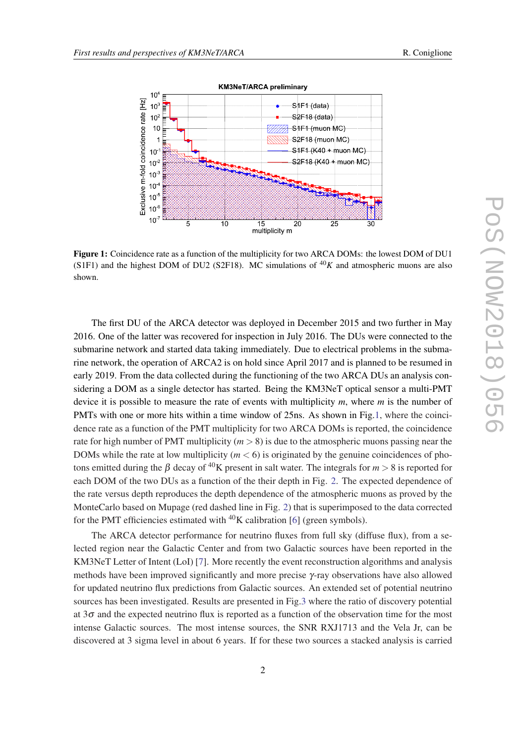

Figure 1: Coincidence rate as a function of the multiplicity for two ARCA DOMs: the lowest DOM of DU1 (S1F1) and the highest DOM of DU2 (S2F18). MC simulations of  $^{40}K$  and atmospheric muons are also shown.

The first DU of the ARCA detector was deployed in December 2015 and two further in May 2016. One of the latter was recovered for inspection in July 2016. The DUs were connected to the submarine network and started data taking immediately. Due to electrical problems in the submarine network, the operation of ARCA2 is on hold since April 2017 and is planned to be resumed in early 2019. From the data collected during the functioning of the two ARCA DUs an analysis considering a DOM as a single detector has started. Being the KM3NeT optical sensor a multi-PMT device it is possible to measure the rate of events with multiplicity *m*, where *m* is the number of PMTs with one or more hits within a time window of 25ns. As shown in Fig.1, where the coincidence rate as a function of the PMT multiplicity for two ARCA DOMs is reported, the coincidence rate for high number of PMT multiplicity  $(m > 8)$  is due to the atmospheric muons passing near the DOMs while the rate at low multiplicity  $(m < 6)$  is originated by the genuine coincidences of photons emitted during the  $\beta$  decay of <sup>40</sup>K present in salt water. The integrals for  $m > 8$  is reported for each DOM of the two DUs as a function of the their depth in Fig. [2](#page-3-0). The expected dependence of the rate versus depth reproduces the depth dependence of the atmospheric muons as proved by the MonteCarlo based on Mupage (red dashed line in Fig. [2](#page-3-0)) that is superimposed to the data corrected for the PMT efficiencies estimated with  ${}^{40}$ K calibration [[6](#page-4-0)] (green symbols).

The ARCA detector performance for neutrino fluxes from full sky (diffuse flux), from a selected region near the Galactic Center and from two Galactic sources have been reported in the KM3NeT Letter of Intent (LoI) [[7](#page-4-0)]. More recently the event reconstruction algorithms and analysis methods have been improved significantly and more precise  $\gamma$ -ray observations have also allowed for updated neutrino flux predictions from Galactic sources. An extended set of potential neutrino sources has been investigated. Results are presented in Fig[.3](#page-4-0) where the ratio of discovery potential at  $3\sigma$  and the expected neutrino flux is reported as a function of the observation time for the most intense Galactic sources. The most intense sources, the SNR RXJ1713 and the Vela Jr, can be discovered at 3 sigma level in about 6 years. If for these two sources a stacked analysis is carried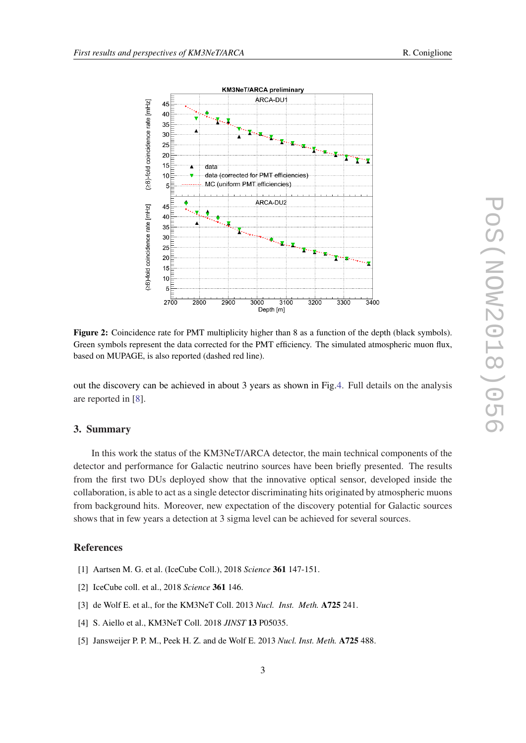<span id="page-3-0"></span>

Figure 2: Coincidence rate for PMT multiplicity higher than 8 as a function of the depth (black symbols). Green symbols represent the data corrected for the PMT efficiency. The simulated atmospheric muon flux, based on MUPAGE, is also reported (dashed red line).

out the discovery can be achieved in about 3 years as shown in Fig[.4.](#page-4-0) Full details on the analysis are reported in [\[8\]](#page-4-0).

### 3. Summary

In this work the status of the KM3NeT/ARCA detector, the main technical components of the detector and performance for Galactic neutrino sources have been briefly presented. The results from the first two DUs deployed show that the innovative optical sensor, developed inside the collaboration, is able to act as a single detector discriminating hits originated by atmospheric muons from background hits. Moreover, new expectation of the discovery potential for Galactic sources shows that in few years a detection at 3 sigma level can be achieved for several sources.

#### References

- [1] Aartsen M. G. et al. (IceCube Coll.), 2018 *Science* 361 147-151.
- [2] IceCube coll. et al., 2018 *Science* 361 146.
- [3] de Wolf E. et al., for the KM3NeT Coll. 2013 *Nucl. Inst. Meth.* A725 241.
- [4] S. Aiello et al., KM3NeT Coll. 2018 *JINST* 13 P05035.
- [5] Jansweijer P. P. M., Peek H. Z. and de Wolf E. 2013 *Nucl. Inst. Meth.* A725 488.